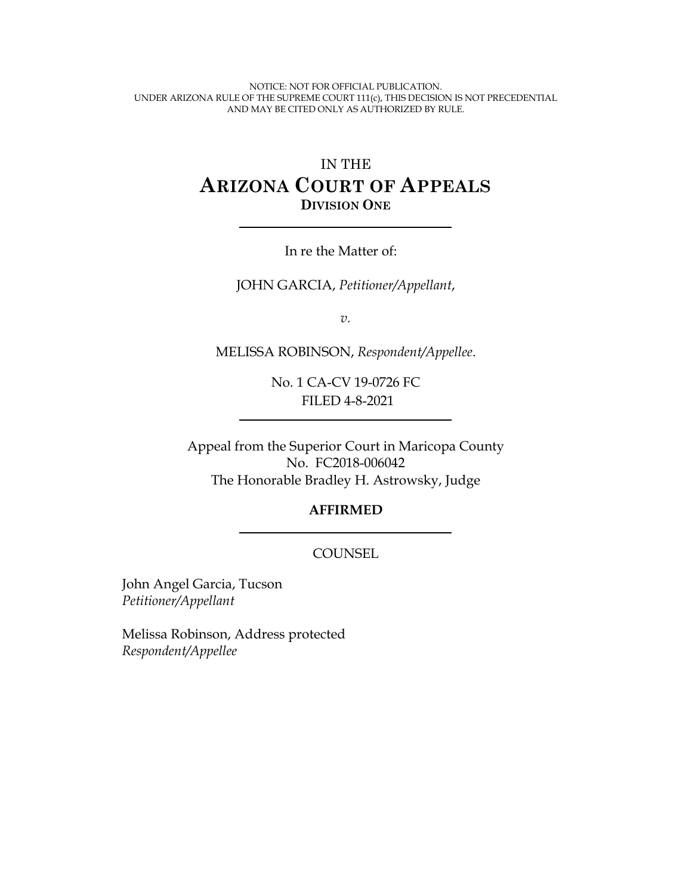NOTICE: NOT FOR OFFICIAL PUBLICATION. UNDER ARIZONA RULE OF THE SUPREME COURT 111(c), THIS DECISION IS NOT PRECEDENTIAL AND MAY BE CITED ONLY AS AUTHORIZED BY RULE.

# IN THE **ARIZONA COURT OF APPEALS DIVISION ONE**

In re the Matter of:

JOHN GARCIA, *Petitioner/Appellant*,

*v.*

MELISSA ROBINSON, *Respondent/Appellee*.

No. 1 CA-CV 19-0726 FC FILED 4-8-2021

Appeal from the Superior Court in Maricopa County No. FC2018-006042 The Honorable Bradley H. Astrowsky, Judge

#### **AFFIRMED**

#### **COUNSEL**

John Angel Garcia, Tucson *Petitioner/Appellant* 

Melissa Robinson, Address protected *Respondent/Appellee*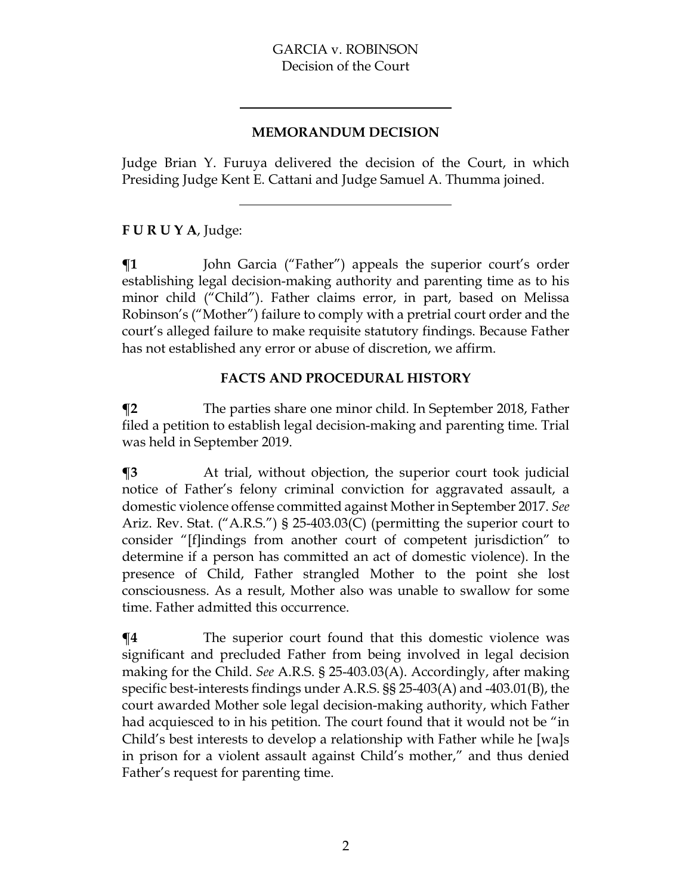#### **MEMORANDUM DECISION**

Judge Brian Y. Furuya delivered the decision of the Court, in which Presiding Judge Kent E. Cattani and Judge Samuel A. Thumma joined.

## **F U R U Y A**, Judge:

 $\P$ **1** John Garcia ("Father") appeals the superior court's order establishing legal decision-making authority and parenting time as to his minor child ("Child"). Father claims error, in part, based on Melissa Robinson's ("Mother") failure to comply with a pretrial court order and the court's alleged failure to make requisite statutory findings. Because Father has not established any error or abuse of discretion, we affirm.

## **FACTS AND PROCEDURAL HISTORY**

**¶2** The parties share one minor child. In September 2018, Father filed a petition to establish legal decision-making and parenting time. Trial was held in September 2019.

**¶3** At trial, without objection, the superior court took judicial notice of Father's felony criminal conviction for aggravated assault, a domestic violence offense committed against Mother in September 2017. *See*  Ariz. Rev. Stat. ("A.R.S.") § 25-403.03(C) (permitting the superior court to consider "[f]indings from another court of competent jurisdiction" to determine if a person has committed an act of domestic violence). In the presence of Child, Father strangled Mother to the point she lost consciousness. As a result, Mother also was unable to swallow for some time. Father admitted this occurrence.

**¶4** The superior court found that this domestic violence was significant and precluded Father from being involved in legal decision making for the Child. *See* A.R.S. § 25-403.03(A). Accordingly, after making specific best-interests findings under A.R.S. §§ 25-403(A) and -403.01(B), the court awarded Mother sole legal decision-making authority, which Father had acquiesced to in his petition. The court found that it would not be "in Child's best interests to develop a relationship with Father while he [wa]s in prison for a violent assault against Child's mother," and thus denied Father's request for parenting time.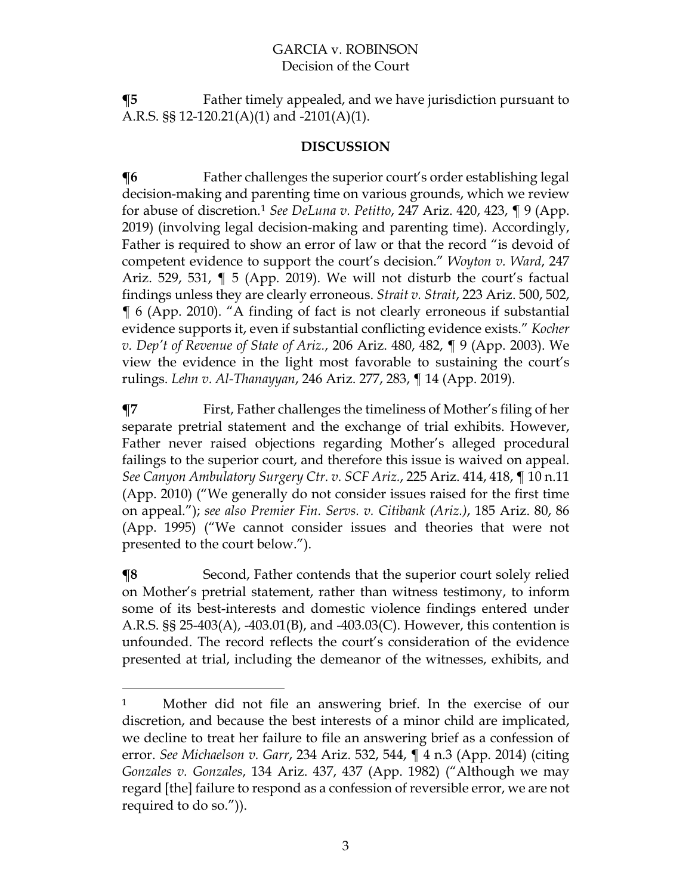**¶5** Father timely appealed, and we have jurisdiction pursuant to A.R.S. §§ 12-120.21(A)(1) and -2101(A)(1).

#### **DISCUSSION**

 $\P6$  Father challenges the superior court's order establishing legal decision-making and parenting time on various grounds, which we review for abuse of discretion.1 *See DeLuna v. Petitto*, 247 Ariz. 420, 423, ¶ 9 (App. 2019) (involving legal decision-making and parenting time). Accordingly, Father is required to show an error of law or that the record "is devoid of competent evidence to support the court's decision." *Woyton v. Ward*, 247 Ariz. 529, 531, ¶ 5 (App. 2019). We will not disturb the court's factual findings unless they are clearly erroneous. *Strait v. Strait*, 223 Ariz. 500, 502, ¶ 6 (App. 2010). "A finding of fact is not clearly erroneous if substantial evidence supports it, even if substantial conflicting evidence exists." *Kocher v. Dep't of Revenue of State of Ariz.*, 206 Ariz. 480, 482, ¶ 9 (App. 2003). We view the evidence in the light most favorable to sustaining the court's rulings. *Lehn v. Al-Thanayyan*, 246 Ariz. 277, 283, ¶ 14 (App. 2019).

**¶7** First, Father challenges the timeliness of Mother's filing of her separate pretrial statement and the exchange of trial exhibits. However, Father never raised objections regarding Mother's alleged procedural failings to the superior court, and therefore this issue is waived on appeal. *See Canyon Ambulatory Surgery Ctr. v. SCF Ariz.*, 225 Ariz. 414, 418, ¶ 10 n.11 (App. 2010) ("We generally do not consider issues raised for the first time on appeal."); *see also Premier Fin. Servs. v. Citibank (Ariz.)*, 185 Ariz. 80, 86 (App. 1995) ("We cannot consider issues and theories that were not presented to the court below.").

**¶8** Second, Father contends that the superior court solely relied on Mother's pretrial statement, rather than witness testimony, to inform some of its best-interests and domestic violence findings entered under A.R.S. §§ 25-403(A), -403.01(B), and -403.03(C). However, this contention is unfounded. The record reflects the court's consideration of the evidence presented at trial, including the demeanor of the witnesses, exhibits, and

<sup>1</sup> Mother did not file an answering brief. In the exercise of our discretion, and because the best interests of a minor child are implicated, we decline to treat her failure to file an answering brief as a confession of error. *See Michaelson v. Garr*, 234 Ariz. 532, 544, ¶ 4 n.3 (App. 2014) (citing *Gonzales v. Gonzales*, 134 Ariz. 437, 437 (App. 1982) ("Although we may regard [the] failure to respond as a confession of reversible error, we are not required to do so.")).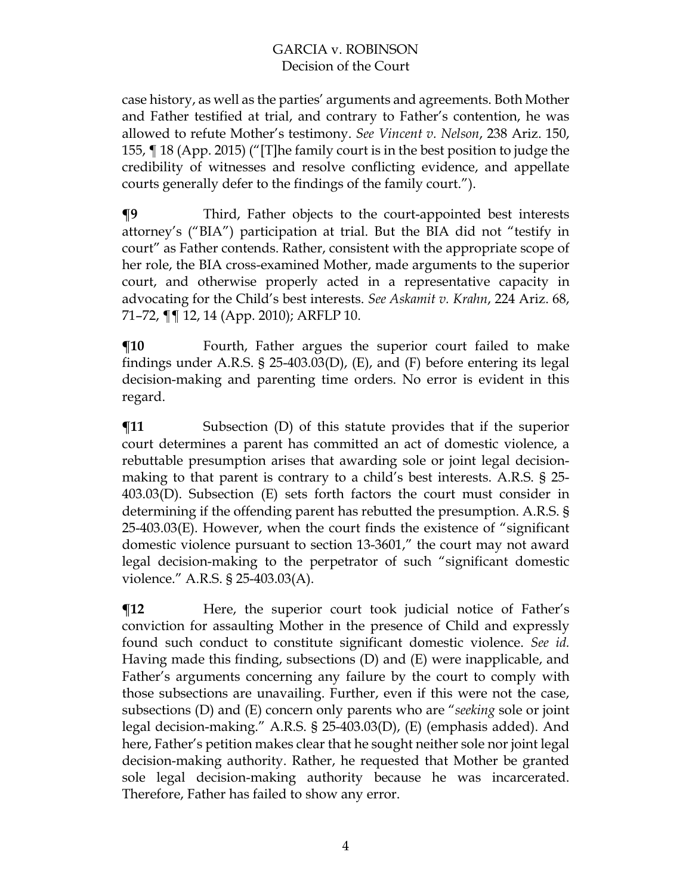case history, as well as the parties' arguments and agreements. Both Mother and Father testified at trial, and contrary to Father's contention, he was allowed to refute Mother's testimony. *See Vincent v. Nelson*, 238 Ariz. 150, 155, ¶ 18 (App. 2015) ("[T]he family court is in the best position to judge the credibility of witnesses and resolve conflicting evidence, and appellate courts generally defer to the findings of the family court.").

**¶9** Third, Father objects to the court-appointed best interests attorney's ("BIA") participation at trial. But the BIA did not "testify in court" as Father contends. Rather, consistent with the appropriate scope of her role, the BIA cross-examined Mother, made arguments to the superior court, and otherwise properly acted in a representative capacity in advocating for the Child's best interests. *See Askamit v. Krahn*, 224 Ariz. 68, 71–72, ¶¶ 12, 14 (App. 2010); ARFLP 10.

**¶10** Fourth, Father argues the superior court failed to make findings under A.R.S. § 25-403.03(D), (E), and (F) before entering its legal decision-making and parenting time orders. No error is evident in this regard.

 $$$ **I1** Subsection (D) of this statute provides that if the superior court determines a parent has committed an act of domestic violence, a rebuttable presumption arises that awarding sole or joint legal decisionmaking to that parent is contrary to a child's best interests. A.R.S. § 25- 403.03(D). Subsection (E) sets forth factors the court must consider in determining if the offending parent has rebutted the presumption. A.R.S. § 25-403.03(E). However, when the court finds the existence of "significant domestic violence pursuant to section 13-3601," the court may not award legal decision-making to the perpetrator of such "significant domestic violence." A.R.S. § 25-403.03(A).

**The State of Father's** Here, the superior court took judicial notice of Father's conviction for assaulting Mother in the presence of Child and expressly found such conduct to constitute significant domestic violence. *See id.* Having made this finding, subsections (D) and (E) were inapplicable, and Father's arguments concerning any failure by the court to comply with those subsections are unavailing. Further, even if this were not the case, subsections (D) and (E) concern only parents who are "*seeking* sole or joint legal decision-making." A.R.S. § 25-403.03(D), (E) (emphasis added). And here, Father's petition makes clear that he sought neither sole nor joint legal decision-making authority. Rather, he requested that Mother be granted sole legal decision-making authority because he was incarcerated. Therefore, Father has failed to show any error.